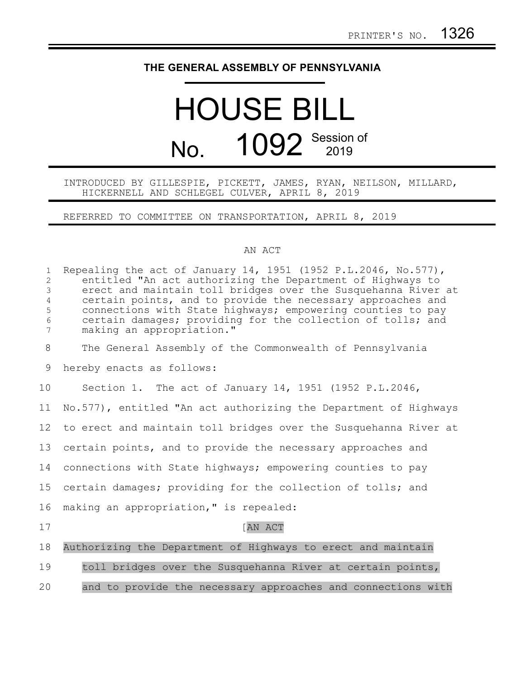## **THE GENERAL ASSEMBLY OF PENNSYLVANIA**

## HOUSE BILL No. 1092 Session of

## INTRODUCED BY GILLESPIE, PICKETT, JAMES, RYAN, NEILSON, MILLARD, HICKERNELL AND SCHLEGEL CULVER, APRIL 8, 2019

REFERRED TO COMMITTEE ON TRANSPORTATION, APRIL 8, 2019

## AN ACT

| $\mathbf 1$<br>$\overline{2}$<br>$\mathfrak{Z}$<br>$\overline{4}$<br>5<br>6<br>7 | Repealing the act of January 14, 1951 (1952 P.L.2046, No.577),<br>entitled "An act authorizing the Department of Highways to<br>erect and maintain toll bridges over the Susquehanna River at<br>certain points, and to provide the necessary approaches and<br>connections with State highways; empowering counties to pay<br>certain damages; providing for the collection of tolls; and<br>making an appropriation." |
|----------------------------------------------------------------------------------|-------------------------------------------------------------------------------------------------------------------------------------------------------------------------------------------------------------------------------------------------------------------------------------------------------------------------------------------------------------------------------------------------------------------------|
| 8                                                                                | The General Assembly of the Commonwealth of Pennsylvania                                                                                                                                                                                                                                                                                                                                                                |
| 9                                                                                | hereby enacts as follows:                                                                                                                                                                                                                                                                                                                                                                                               |
| 10                                                                               | Section 1. The act of January 14, 1951 (1952 P.L.2046,                                                                                                                                                                                                                                                                                                                                                                  |
| 11                                                                               | No.577), entitled "An act authorizing the Department of Highways                                                                                                                                                                                                                                                                                                                                                        |
| 12                                                                               | to erect and maintain toll bridges over the Susquehanna River at                                                                                                                                                                                                                                                                                                                                                        |
| 13                                                                               | certain points, and to provide the necessary approaches and                                                                                                                                                                                                                                                                                                                                                             |
| 14                                                                               | connections with State highways; empowering counties to pay                                                                                                                                                                                                                                                                                                                                                             |
| 15                                                                               | certain damages; providing for the collection of tolls; and                                                                                                                                                                                                                                                                                                                                                             |
| 16                                                                               | making an appropriation," is repealed:                                                                                                                                                                                                                                                                                                                                                                                  |
| 17                                                                               | AN ACT                                                                                                                                                                                                                                                                                                                                                                                                                  |
| 18                                                                               | Authorizing the Department of Highways to erect and maintain                                                                                                                                                                                                                                                                                                                                                            |
| 19                                                                               | toll bridges over the Susquehanna River at certain points,                                                                                                                                                                                                                                                                                                                                                              |
| 20                                                                               | and to provide the necessary approaches and connections with                                                                                                                                                                                                                                                                                                                                                            |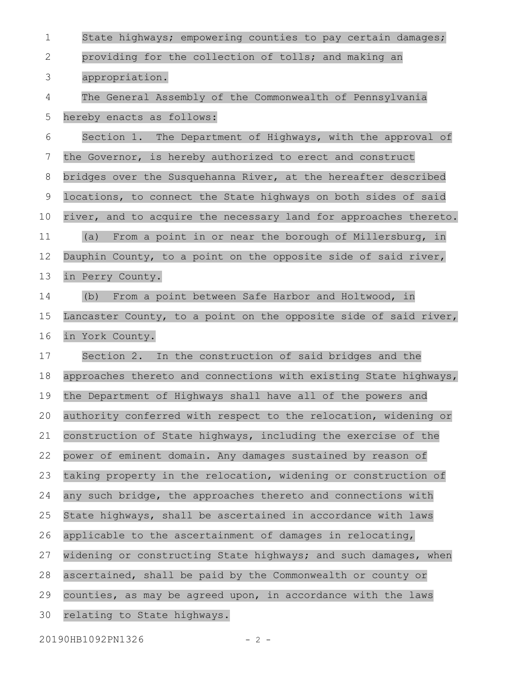| $\mathbf 1$ | State highways; empowering counties to pay certain damages;      |
|-------------|------------------------------------------------------------------|
| 2           | providing for the collection of tolls; and making an             |
| 3           | appropriation.                                                   |
| 4           | The General Assembly of the Commonwealth of Pennsylvania         |
| 5           | hereby enacts as follows:                                        |
| 6           | Section 1. The Department of Highways, with the approval of      |
| 7           | the Governor, is hereby authorized to erect and construct        |
| 8           | bridges over the Susquehanna River, at the hereafter described   |
| 9           | locations, to connect the State highways on both sides of said   |
| 10          | river, and to acquire the necessary land for approaches thereto. |
| 11          | From a point in or near the borough of Millersburg, in<br>(a)    |
| 12          | Dauphin County, to a point on the opposite side of said river,   |
| 13          | in Perry County.                                                 |
| 14          | (b) From a point between Safe Harbor and Holtwood, in            |
| 15          | Lancaster County, to a point on the opposite side of said river, |
| 16          | in York County.                                                  |
| 17          | Section 2. In the construction of said bridges and the           |
| 18          | approaches thereto and connections with existing State highways, |
| 19          | the Department of Highways shall have all of the powers and      |
| 20          | authority conferred with respect to the relocation, widening or  |
| 21          | construction of State highways, including the exercise of the    |
| 22          | power of eminent domain. Any damages sustained by reason of      |
| 23          | taking property in the relocation, widening or construction of   |
| 24          | any such bridge, the approaches thereto and connections with     |
| 25          | State highways, shall be ascertained in accordance with laws     |
| 26          | applicable to the ascertainment of damages in relocating,        |
| 27          | widening or constructing State highways; and such damages, when  |
| 28          | ascertained, shall be paid by the Commonwealth or county or      |
| 29          | counties, as may be agreed upon, in accordance with the laws     |
| 30          | relating to State highways.                                      |
|             |                                                                  |

20190HB1092PN1326 - 2 -